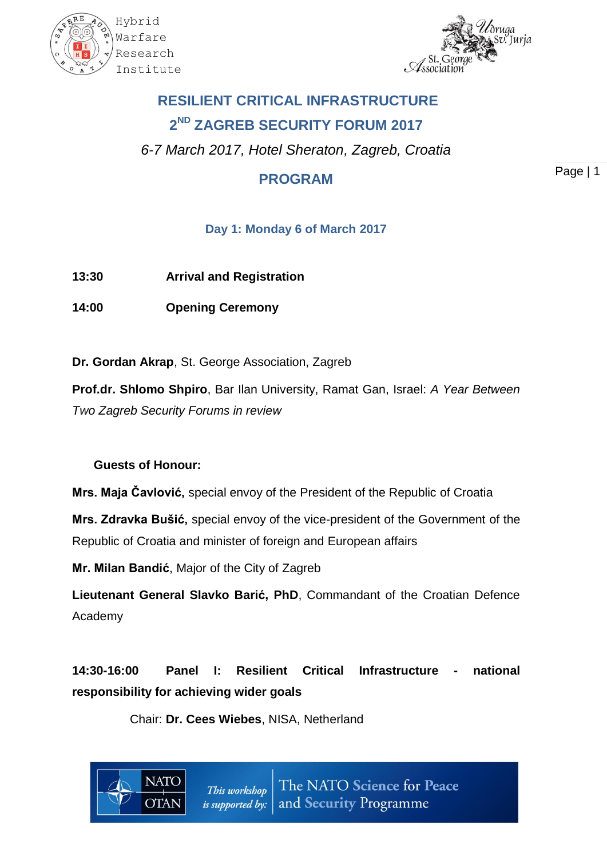



# **RESILIENT CRITICAL INFRASTRUCTURE 2 ND ZAGREB SECURITY FORUM 2017**

*6-7 March 2017, Hotel Sheraton, Zagreb, Croatia*

# **PROGRAM**

Page | 1

### **Day 1: Monday 6 of March 2017**

**13:30 Arrival and Registration**

**14:00 Opening Ceremony**

**Dr. Gordan Akrap**, St. George Association, Zagreb

**Prof.dr. Shlomo Shpiro**, Bar Ilan University, Ramat Gan, Israel: *A Year Between Two Zagreb Security Forums in review*

## **Guests of Honour:**

 $\Gamma$ TAI

**Mrs. Maja Čavlović,** special envoy of the President of the Republic of Croatia

**Mrs. Zdravka Bušić,** special envoy of the vice-president of the Government of the Republic of Croatia and minister of foreign and European affairs

**Mr. Milan Bandić**, Major of the City of Zagreb

**Lieutenant General Slavko Barić, PhD**, Commandant of the Croatian Defence Academy

**14:30-16:00 Panel I: Resilient Critical Infrastructure - national responsibility for achieving wider goals**

Chair: **Dr. Cees Wiebes**, NISA, Netherland

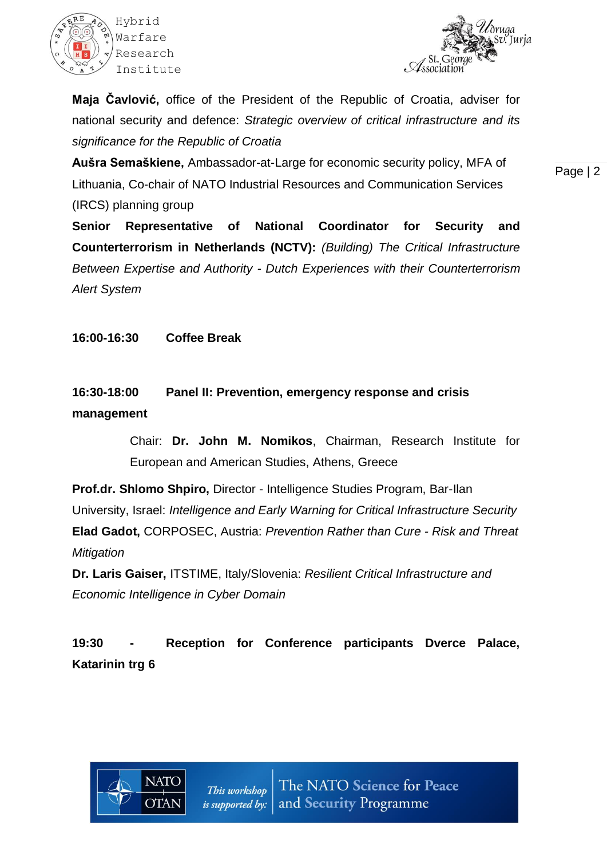



**Maja Čavlović,** office of the President of the Republic of Croatia, adviser for national security and defence: *Strategic overview of critical infrastructure and its significance for the Republic of Croatia*

**Aušra Semaškiene,** Ambassador-at-Large for economic security policy, MFA of Lithuania, Co-chair of NATO Industrial Resources and Communication Services (IRCS) planning group

Page | 2

**Senior Representative of National Coordinator for Security and Counterterrorism in Netherlands (NCTV):** *(Building) The Critical Infrastructure Between Expertise and Authority - Dutch Experiences with their Counterterrorism Alert System*

**16:00-16:30 Coffee Break**

## **16:30-18:00 Panel II: Prevention, emergency response and crisis management**

Chair: **Dr. John M. Nomikos**, Chairman, Research Institute for European and American Studies, Athens, Greece

**Prof.dr. Shlomo Shpiro,** Director - Intelligence Studies Program, Bar-Ilan University, Israel: *Intelligence and Early Warning for Critical Infrastructure Security* **Elad Gadot,** CORPOSEC, Austria: *Prevention Rather than Cure - Risk and Threat Mitigation*

**Dr. Laris Gaiser,** ITSTIME, Italy/Slovenia: *Resilient Critical Infrastructure and Economic Intelligence in Cyber Domain*

**19:30 - Reception for Conference participants Dverce Palace, Katarinin trg 6**

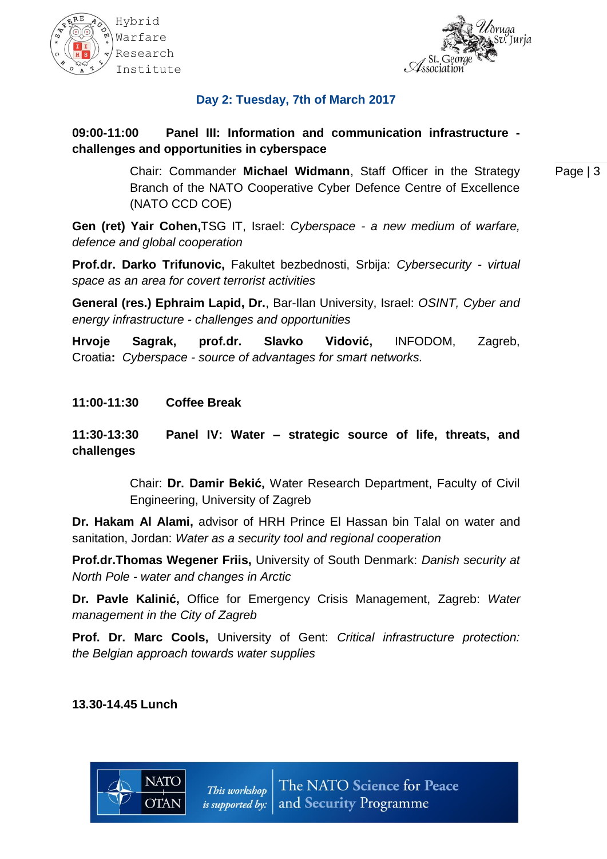



#### **Day 2: Tuesday, 7th of March 2017**

#### **09:00-11:00 Panel III: Information and communication infrastructure challenges and opportunities in cyberspace**

Page | 3 Chair: Commander **Michael Widmann**, Staff Officer in the Strategy Branch of the NATO Cooperative Cyber Defence Centre of Excellence (NATO CCD COE)

**Gen (ret) Yair Cohen,**TSG IT, Israel: *Cyberspace - a new medium of warfare, defence and global cooperation*

**Prof.dr. Darko Trifunovic,** Fakultet bezbednosti, Srbija: *Cybersecurity - virtual space as an area for covert terrorist activities*

**General (res.) Ephraim Lapid, Dr.**, Bar-Ilan University, Israel: *OSINT, Cyber and energy infrastructure - challenges and opportunities*

**Hrvoje Sagrak, prof.dr. Slavko Vidović,** INFODOM, Zagreb, Croatia**:** *Cyberspace - source of advantages for smart networks.*

**11:00-11:30 Coffee Break**

**11:30-13:30 Panel IV: Water – strategic source of life, threats, and challenges** 

> Chair: **Dr. Damir Bekić,** Water Research Department, Faculty of Civil Engineering, University of Zagreb

**Dr. Hakam Al Alami,** advisor of HRH Prince El Hassan bin Talal on water and sanitation, Jordan: *Water as a security tool and regional cooperation*

**Prof.dr.Thomas Wegener Friis,** University of South Denmark: *Danish security at North Pole - water and changes in Arctic*

**Dr. Pavle Kalinić,** Office for Emergency Crisis Management, Zagreb: *Water management in the City of Zagreb*

**Prof. Dr. Marc Cools,** University of Gent: *Critical infrastructure protection: the Belgian approach towards water supplies*

#### **13.30-14.45 Lunch**